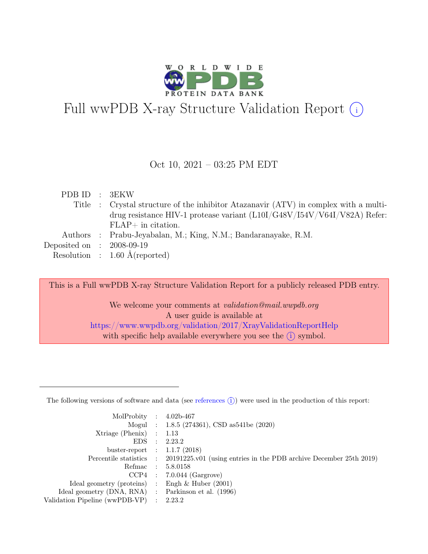

# Full wwPDB X-ray Structure Validation Report  $(i)$

#### Oct 10, 2021 – 03:25 PM EDT

| PDB ID : 3EKW               |                                                                                      |
|-----------------------------|--------------------------------------------------------------------------------------|
|                             | Title : Crystal structure of the inhibitor Atazanavir (ATV) in complex with a multi- |
|                             | drug resistance HIV-1 protease variant $(L10I/G48V/I54V/V64I/V82A)$ Refer:           |
|                             | $FLAP+$ in citation.                                                                 |
|                             | Authors : Prabu-Jeyabalan, M.; King, N.M.; Bandaranayake, R.M.                       |
| Deposited on : $2008-09-19$ |                                                                                      |
|                             | Resolution : $1.60 \text{ Å}$ (reported)                                             |

This is a Full wwPDB X-ray Structure Validation Report for a publicly released PDB entry.

We welcome your comments at validation@mail.wwpdb.org A user guide is available at <https://www.wwpdb.org/validation/2017/XrayValidationReportHelp> with specific help available everywhere you see the  $(i)$  symbol.

The following versions of software and data (see [references](https://www.wwpdb.org/validation/2017/XrayValidationReportHelp#references)  $(i)$ ) were used in the production of this report:

| MolProbity : $4.02b-467$                            |                                                                                            |
|-----------------------------------------------------|--------------------------------------------------------------------------------------------|
|                                                     | Mogul : $1.8.5$ (274361), CSD as 541be (2020)                                              |
| $Xtriangle (Phenix)$ : 1.13                         |                                                                                            |
|                                                     | EDS : 2.23.2                                                                               |
| buster-report : $1.1.7$ (2018)                      |                                                                                            |
|                                                     | Percentile statistics : 20191225.v01 (using entries in the PDB archive December 25th 2019) |
|                                                     | Refmac : 5.8.0158                                                                          |
|                                                     | $CCP4$ : 7.0.044 (Gargrove)                                                                |
| Ideal geometry (proteins) : Engh $\&$ Huber (2001)  |                                                                                            |
| Ideal geometry (DNA, RNA) : Parkinson et al. (1996) |                                                                                            |
| Validation Pipeline (wwPDB-VP) : 2.23.2             |                                                                                            |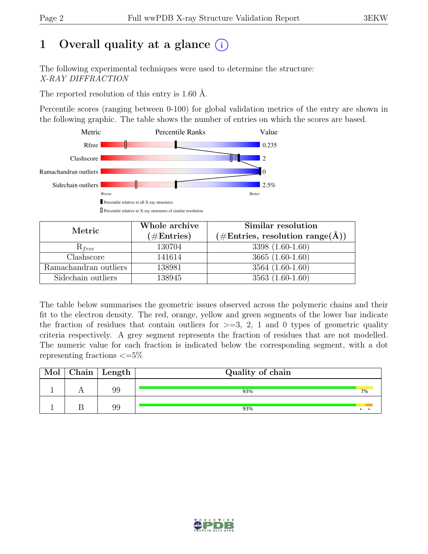# 1 Overall quality at a glance  $(i)$

The following experimental techniques were used to determine the structure: X-RAY DIFFRACTION

The reported resolution of this entry is 1.60 Å.

Percentile scores (ranging between 0-100) for global validation metrics of the entry are shown in the following graphic. The table shows the number of entries on which the scores are based.



| Metric                | Whole archive | Similar resolution                                   |
|-----------------------|---------------|------------------------------------------------------|
|                       | $(\#Entries)$ | $(\# \text{Entries}, \text{ resolution range}(\AA))$ |
| $R_{free}$            | 130704        | $3398(1.60-1.60)$                                    |
| Clashscore            | 141614        | $3665(1.60-1.60)$                                    |
| Ramachandran outliers | 138981        | $3564(1.60-1.60)$                                    |
| Sidechain outliers    | 138945        | $3563(1.60-1.60)$                                    |

The table below summarises the geometric issues observed across the polymeric chains and their fit to the electron density. The red, orange, yellow and green segments of the lower bar indicate the fraction of residues that contain outliers for  $>=$  3, 2, 1 and 0 types of geometric quality criteria respectively. A grey segment represents the fraction of residues that are not modelled. The numeric value for each fraction is indicated below the corresponding segment, with a dot representing fractions  $\epsilon = 5\%$ 

| Mol | $\mid$ Chain $\mid$ Length | Quality of chain |    |
|-----|----------------------------|------------------|----|
|     | 99                         | 93%              | 7% |
|     | 99                         | 93%              |    |

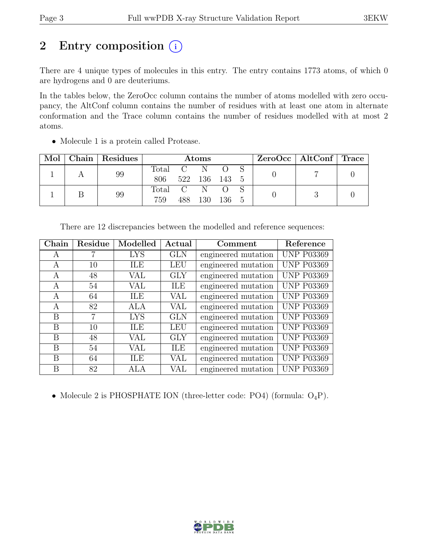# 2 Entry composition  $(i)$

There are 4 unique types of molecules in this entry. The entry contains 1773 atoms, of which 0 are hydrogens and 0 are deuteriums.

In the tables below, the ZeroOcc column contains the number of atoms modelled with zero occupancy, the AltConf column contains the number of residues with at least one atom in alternate conformation and the Trace column contains the number of residues modelled with at most 2 atoms.

| $\blacksquare$ Mol $\blacksquare$ |    | Chain   Residues | Atoms   |               |       |    |  | ZeroOcc   AltConf   Trace |  |
|-----------------------------------|----|------------------|---------|---------------|-------|----|--|---------------------------|--|
|                                   |    | 99               | Total C |               | -N    |    |  |                           |  |
|                                   |    | 806              |         | 522 136 143 5 |       |    |  |                           |  |
|                                   |    |                  | Total C |               | - N   |    |  |                           |  |
|                                   | 99 | 759              | 488.    | 130           | . 136 | -5 |  |                           |  |

• Molecule 1 is a protein called Protease.

| Chain        | Residue        | Modelled   | Actual     | Comment             | Reference         |
|--------------|----------------|------------|------------|---------------------|-------------------|
| A            |                | <b>LYS</b> | <b>GLN</b> | engineered mutation |                   |
| A            | 10             | ILE        | <b>LEU</b> | engineered mutation | <b>UNP P03369</b> |
| A            | 48             | VAL        | <b>GLY</b> | engineered mutation | <b>UNP P03369</b> |
| А            | 54             | VAL        | ILE        | engineered mutation | <b>UNP P03369</b> |
| $\mathsf{A}$ | 64             | ШE         | VAL        | engineered mutation | <b>UNP P03369</b> |
| A            | 82             | ALA        | <b>VAL</b> | engineered mutation | <b>UNP P03369</b> |
| B            | $\overline{7}$ | <b>LYS</b> | <b>GLN</b> | engineered mutation | <b>UNP P03369</b> |
| B            | 10             | ILE        | <b>LEU</b> | engineered mutation | <b>UNP P03369</b> |
| B            | 48             | VAL        | <b>GLY</b> | engineered mutation | <b>UNP P03369</b> |
| B            | 54             | VAL        | <b>ILE</b> | engineered mutation | <b>UNP P03369</b> |
| B            | 64             | <b>ILE</b> | <b>VAL</b> | engineered mutation | <b>UNP P03369</b> |
| В            | 82             | ALA        | VAL        | engineered mutation | <b>UNP P03369</b> |

There are 12 discrepancies between the modelled and reference sequences:

• Molecule 2 is PHOSPHATE ION (three-letter code: PO4) (formula:  $O_4P$ ).

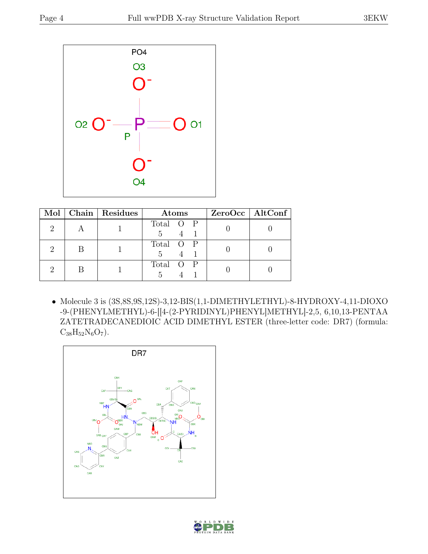

|  | Mol   Chain   Residues | <b>Atoms</b>            | ZeroOcc   AltConf |
|--|------------------------|-------------------------|-------------------|
|  |                        | Total O P               |                   |
|  |                        | Total O P               |                   |
|  |                        | Total O<br>$\mathbf{P}$ |                   |

• Molecule 3 is (3S,8S,9S,12S)-3,12-BIS(1,1-DIMETHYLETHYL)-8-HYDROXY-4,11-DIOXO -9-(PHENYLMETHYL)-6-[[4-(2-PYRIDINYL)PHENYL]METHYL]-2,5, 6,10,13-PENTAA ZATETRADECANEDIOIC ACID DIMETHYL ESTER (three-letter code: DR7) (formula:  $C_{38}H_{52}N_6O_7$ ).



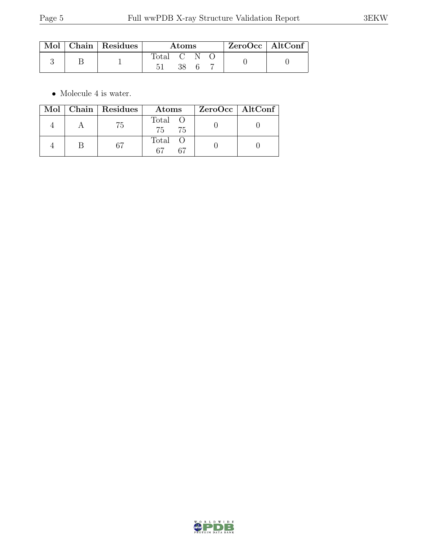|  | Mol   Chain   Residues |             | Atoms |  | $ZeroOcc \mid AltConf$ |  |
|--|------------------------|-------------|-------|--|------------------------|--|
|  |                        | Total C N O | 38    |  |                        |  |

 $\bullet\,$  Molecule 4 is water.

|  | Mol   Chain   Residues | Atoms            | $ZeroOcc \   \$ AltConf |
|--|------------------------|------------------|-------------------------|
|  | 75                     | Total O<br>75 75 |                         |
|  | 67                     | Total O<br>67    |                         |

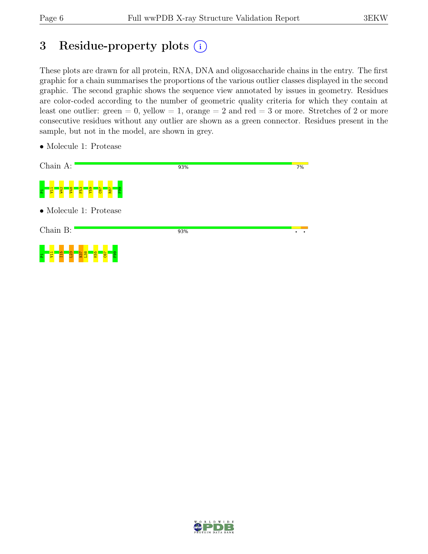# 3 Residue-property plots  $(i)$

These plots are drawn for all protein, RNA, DNA and oligosaccharide chains in the entry. The first graphic for a chain summarises the proportions of the various outlier classes displayed in the second graphic. The second graphic shows the sequence view annotated by issues in geometry. Residues are color-coded according to the number of geometric quality criteria for which they contain at least one outlier: green  $= 0$ , yellow  $= 1$ , orange  $= 2$  and red  $= 3$  or more. Stretches of 2 or more consecutive residues without any outlier are shown as a green connector. Residues present in the sample, but not in the model, are shown in grey.

• Molecule 1: Protease



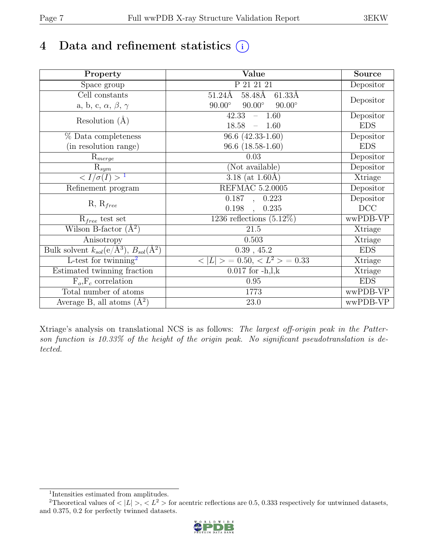# 4 Data and refinement statistics  $(i)$

| Property                                                             | Value                                                | <b>Source</b> |
|----------------------------------------------------------------------|------------------------------------------------------|---------------|
| $\overline{\text{Space}}$ group                                      | P 21 21 21                                           | Depositor     |
| Cell constants                                                       | $58.48\text{\AA}$<br>$51.24\text{\AA}$<br>$61.33\AA$ |               |
| a, b, c, $\alpha$ , $\beta$ , $\gamma$                               | $90.00^\circ$<br>$90.00^\circ$<br>$90.00^\circ$      | Depositor     |
| Resolution $(A)$                                                     | 42.33<br>$-1.60$                                     | Depositor     |
|                                                                      | 18.58<br>$-1.60$                                     | <b>EDS</b>    |
| % Data completeness                                                  | $96.6(42.33-1.60)$                                   | Depositor     |
| (in resolution range)                                                | $96.6$ $(18.58-1.60)$                                | <b>EDS</b>    |
| $\mathrm{R}_{merge}$                                                 | 0.03                                                 | Depositor     |
| $\mathrm{R}_{sym}$                                                   | (Not available)                                      | Depositor     |
| $\langle I/\sigma(I) \rangle$ <sup>1</sup>                           | $\overline{3.18}$ (at 1.60Å)                         | Xtriage       |
| Refinement program                                                   | <b>REFMAC 5.2.0005</b>                               | Depositor     |
| $R, R_{free}$                                                        | $\overline{0.187}$ ,<br>0.223                        | Depositor     |
|                                                                      | 0.198<br>0.235<br>$\ddot{\phantom{a}}$               | DCC           |
| $R_{free}$ test set                                                  | 1236 reflections $(5.12\%)$                          | wwPDB-VP      |
| Wilson B-factor $(A^2)$                                              | 21.5                                                 | Xtriage       |
| Anisotropy                                                           | 0.503                                                | Xtriage       |
| Bulk solvent $k_{sol}(e/\mathring{A}^3)$ , $B_{sol}(\mathring{A}^2)$ | $0.39$ , $45.2\,$                                    | <b>EDS</b>    |
| $\overline{\text{L-test}}$ for twinning <sup>2</sup>                 | $< L >$ = 0.50, $< L2$ > = 0.33                      | Xtriage       |
| Estimated twinning fraction                                          | $0.017$ for $-h, l, k$                               | Xtriage       |
| $F_o, F_c$ correlation                                               | 0.95                                                 | <b>EDS</b>    |
| Total number of atoms                                                | 1773                                                 | wwPDB-VP      |
| Average B, all atoms $(A^2)$                                         | 23.0                                                 | wwPDB-VP      |

Xtriage's analysis on translational NCS is as follows: The largest off-origin peak in the Patterson function is 10.33% of the height of the origin peak. No significant pseudotranslation is detected.

<sup>&</sup>lt;sup>2</sup>Theoretical values of  $\langle |L| \rangle$ ,  $\langle L^2 \rangle$  for acentric reflections are 0.5, 0.333 respectively for untwinned datasets, and 0.375, 0.2 for perfectly twinned datasets.



<span id="page-6-1"></span><span id="page-6-0"></span><sup>1</sup> Intensities estimated from amplitudes.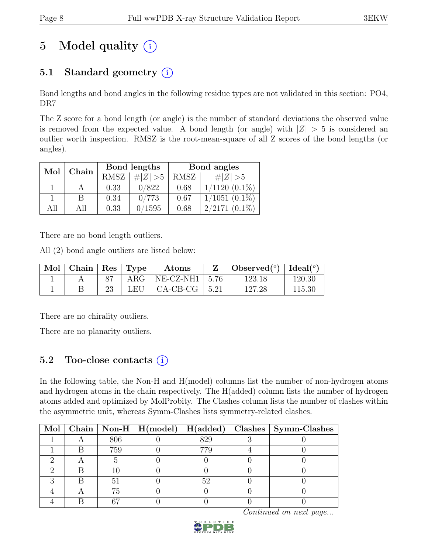# 5 Model quality  $(i)$

## 5.1 Standard geometry  $(i)$

Bond lengths and bond angles in the following residue types are not validated in this section: PO4, DR7

The Z score for a bond length (or angle) is the number of standard deviations the observed value is removed from the expected value. A bond length (or angle) with  $|Z| > 5$  is considered an outlier worth inspection. RMSZ is the root-mean-square of all Z scores of the bond lengths (or angles).

| Mol  | Chain |      | Bond lengths | Bond angles |                    |  |
|------|-------|------|--------------|-------------|--------------------|--|
|      |       | RMSZ | $\# Z  > 5$  | RMSZ        | $\# Z  > 5$        |  |
|      |       | 0.33 | 0/822        | 0.68        | $1/1120(0.1\%)$    |  |
|      | B     | 0.34 | 0/773        | 0.67        | $1/1051$ $(0.1\%)$ |  |
| A 11 | All   | 0.33 | 0/1595       | 0.68        | $2/2171(0.1\%)$    |  |

There are no bond length outliers.

All (2) bond angle outliers are listed below:

| $\vert$ Mol $\vert$ Chain $\vert$ Res $\vert$ Type |     | Atoms                    |       | Observed( $^{\circ}$ )   Ideal( $^{\circ}$ ) |        |
|----------------------------------------------------|-----|--------------------------|-------|----------------------------------------------|--------|
|                                                    |     | ARG   NE-CZ-NH1   $5.76$ |       | 123.18                                       | 120.30 |
|                                                    | LEU | CA-CB-CG                 | -5.21 | 127.28                                       | 115.30 |

There are no chirality outliers.

There are no planarity outliers.

### 5.2 Too-close contacts  $(i)$

In the following table, the Non-H and H(model) columns list the number of non-hydrogen atoms and hydrogen atoms in the chain respectively. The H(added) column lists the number of hydrogen atoms added and optimized by MolProbity. The Clashes column lists the number of clashes within the asymmetric unit, whereas Symm-Clashes lists symmetry-related clashes.

|  |     |     | Mol   Chain   Non-H   H(model)   H(added)   Clashes   Symm-Clashes |
|--|-----|-----|--------------------------------------------------------------------|
|  | 806 | 829 |                                                                    |
|  | 759 | 779 |                                                                    |
|  |     |     |                                                                    |
|  |     |     |                                                                    |
|  |     | 52  |                                                                    |
|  | 75  |     |                                                                    |
|  |     |     |                                                                    |

Continued on next page...

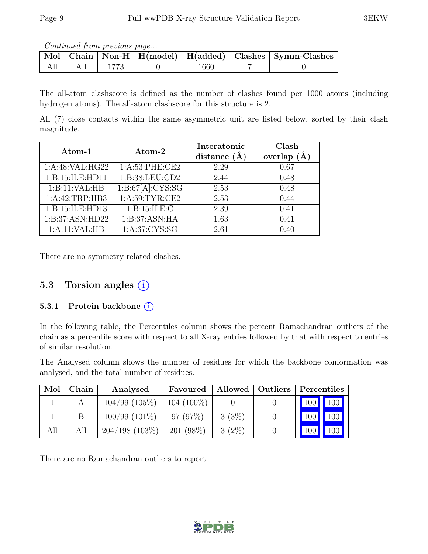Continued from previous page...

|  |  |      | Mol   Chain   Non-H   H(model)   H(added)   Clashes   Symm-Clashes |
|--|--|------|--------------------------------------------------------------------|
|  |  | 1660 |                                                                    |

The all-atom clashscore is defined as the number of clashes found per 1000 atoms (including hydrogen atoms). The all-atom clashscore for this structure is 2.

All (7) close contacts within the same asymmetric unit are listed below, sorted by their clash magnitude.

| Atom-1                      | Atom-2           | Interatomic<br>distance $(\AA)$ | Clash<br>overlap |
|-----------------------------|------------------|---------------------------------|------------------|
| 1:A:48:VAL:HG22             | 1: A:53: PHE:CE2 | 2.29                            | 0.67             |
| 1:B:15:ILE:HD11             | 1:B:38:LEU:CD2   | 2.44                            | 0.48             |
| 1:B:11:VAL:HB               | 1:B:67[A]:CYS:SG | 2.53                            | 0.48             |
| 1:A:42:TRP:HB3              | 1: A:59:TYR:CE2  | 2.53                            | 0.44             |
| 1:B:15:ILE:HD13             | 1: B:15: ILE:C   | 2.39                            | 0.41             |
| 1:B:37:ASN:H <sub>D22</sub> | 1:B:37:ASN:HA    | 1.63                            | 0.41             |
| 1:A:11:VAL:HB               | 1: A:67: CYS:SG  | 2.61                            | 0.40             |

There are no symmetry-related clashes.

### 5.3 Torsion angles  $(i)$

#### 5.3.1 Protein backbone (i)

In the following table, the Percentiles column shows the percent Ramachandran outliers of the chain as a percentile score with respect to all X-ray entries followed by that with respect to entries of similar resolution.

The Analysed column shows the number of residues for which the backbone conformation was analysed, and the total number of residues.

| Mol | Chain | Analysed           | Favoured     | Allowed  | Outliers   Percentiles |         |               |
|-----|-------|--------------------|--------------|----------|------------------------|---------|---------------|
|     |       | $104/99$ $(105\%)$ | $104(100\%)$ |          |                        | 100 100 |               |
|     |       | $100/99(101\%)$    | 97(97%)      | 3(3%)    |                        |         | $100$   $100$ |
| All | All   | $204/198$ (103\%)  | $201(98\%)$  | $3(2\%)$ |                        | 100     | 100           |

There are no Ramachandran outliers to report.

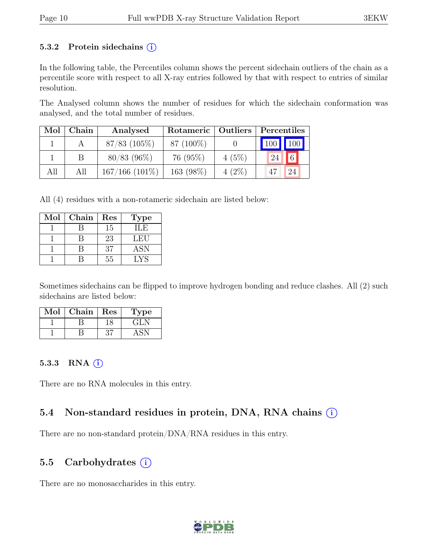#### 5.3.2 Protein sidechains  $(i)$

In the following table, the Percentiles column shows the percent sidechain outliers of the chain as a percentile score with respect to all X-ray entries followed by that with respect to entries of similar resolution.

The Analysed column shows the number of residues for which the sidechain conformation was analysed, and the total number of residues.

| Mol | Chain | Analysed          | Rotameric   Outliers |          | Percentiles     |            |
|-----|-------|-------------------|----------------------|----------|-----------------|------------|
|     |       | $87/83$ (105\%)   | 87 (100\%)           |          | 100 100         |            |
|     |       | $80/83$ (96\%)    | 76 $(95\%)$          | $4(5\%)$ | 24 <sub>1</sub> | $\sqrt{6}$ |
| All | All   | $167/166$ (101\%) | 163 (98%)            | $4(2\%)$ | 47              | 24         |

All (4) residues with a non-rotameric sidechain are listed below:

| Mol | Chain | Res | <b>Type</b> |
|-----|-------|-----|-------------|
|     |       | 15  | ШE          |
|     |       | 23  | LEU         |
|     |       | 37  | <b>ASN</b>  |
|     |       | 55  | LYS         |

Sometimes sidechains can be flipped to improve hydrogen bonding and reduce clashes. All (2) such sidechains are listed below:

| Mol | Chain | Res | Type |
|-----|-------|-----|------|
|     |       |     | GLN  |
|     |       |     |      |

#### 5.3.3 RNA  $(i)$

There are no RNA molecules in this entry.

#### 5.4 Non-standard residues in protein, DNA, RNA chains  $(i)$

There are no non-standard protein/DNA/RNA residues in this entry.

#### 5.5 Carbohydrates  $(i)$

There are no monosaccharides in this entry.

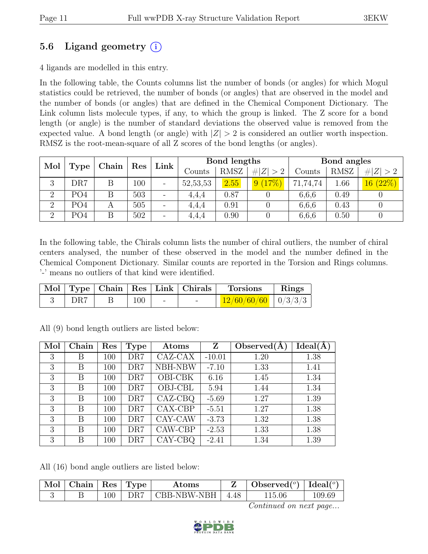### 5.6 Ligand geometry  $(i)$

4 ligands are modelled in this entry.

In the following table, the Counts columns list the number of bonds (or angles) for which Mogul statistics could be retrieved, the number of bonds (or angles) that are observed in the model and the number of bonds (or angles) that are defined in the Chemical Component Dictionary. The Link column lists molecule types, if any, to which the group is linked. The Z score for a bond length (or angle) is the number of standard deviations the observed value is removed from the expected value. A bond length (or angle) with  $|Z| > 2$  is considered an outlier worth inspection. RMSZ is the root-mean-square of all Z scores of the bond lengths (or angles).

| Mol            |                 | Chain | Res     | Link                     |          | Bond lengths |           |          | Bond angles |             |
|----------------|-----------------|-------|---------|--------------------------|----------|--------------|-----------|----------|-------------|-------------|
|                | <b>Type</b>     |       |         |                          | Counts   | <b>RMSZ</b>  | Z >2<br># | Counts   | <b>RMSZ</b> | # <br> Z >2 |
| 3              | DR7             | Β     | $100\,$ | $\overline{\phantom{a}}$ | 52,53,53 | 2.55         | 9(17%)    | 71,74,74 | 1.66        | 16(22%)     |
| $\overline{2}$ | PO <sub>4</sub> | Β     | 503     | $\qquad \qquad -$        | 4.4.4    | 0.87         |           | 6,6,6    | 0.49        |             |
| $\overline{2}$ | PO <sub>4</sub> | А     | 505     | $\overline{\phantom{0}}$ | 4,4,4    | 0.91         |           | 6,6,6    | 0.43        |             |
| $\overline{2}$ | PO4             | Β     | 502     | $\qquad \qquad$          | 4,4,4    | 0.90         |           | 6,6,6    | 0.50        |             |

In the following table, the Chirals column lists the number of chiral outliers, the number of chiral centers analysed, the number of these observed in the model and the number defined in the Chemical Component Dictionary. Similar counts are reported in the Torsion and Rings columns. '-' means no outliers of that kind were identified.

|     |     |   | Mol   Type   Chain   Res   Link   Chirals | <b>Torsions</b>         | Rings |
|-----|-----|---|-------------------------------------------|-------------------------|-------|
| DR7 | 100 | - |                                           | $12/60/60/60$   0/3/3/3 |       |

| Mol | Chain | Res | Type | Atoms          | Z        | Observed $(A)$ | $Ideal(\AA)$ |
|-----|-------|-----|------|----------------|----------|----------------|--------------|
| 3   | Β     | 100 | DR7  | CAZ-CAX        | $-10.01$ | 1.20           | 1.38         |
| 3   | Β     | 100 | DR7  | NBH-NBW        | $-7.10$  | 1.33           | 1.41         |
| 3   | Β     | 100 | DR7  | <b>OBI-CBK</b> | 6.16     | 1.45           | 1.34         |
| 3   | Β     | 100 | DR7  | OBJ-CBL        | 5.94     | 1.44           | 1.34         |
| 3   | Β     | 100 | DR7  | CAZ-CBQ        | $-5.69$  | 1.27           | 1.39         |
| 3   | В     | 100 | DR7  | CAX-CBP        | $-5.51$  | 1.27           | 1.38         |
| 3   | Β     | 100 | DR7  | CAY-CAW        | $-3.73$  | 1.32           | 1.38         |
| 3   | В     | 100 | DR7  | CAW-CBP        | $-2.53$  | 1.33           | 1.38         |
| 3   | В     | 100 | DR7  | CAY-CBQ        | $-2.41$  | 1.34           | 1.39         |

All (9) bond length outliers are listed below:

All (16) bond angle outliers are listed below:

| Mol | $\vert$ Chain $\vert$ Res $\vert$ Type |                 |     | Atoms                            | Observed <sup>(<math>^o</math>)</sup> [deal( $^o$ ) |        |
|-----|----------------------------------------|-----------------|-----|----------------------------------|-----------------------------------------------------|--------|
|     |                                        | 00 <sup>°</sup> | DR7 | $\vert$ CBB-NBW-NBH $\vert$ 4.48 | 115.06                                              | 109.69 |

Continued on next page...

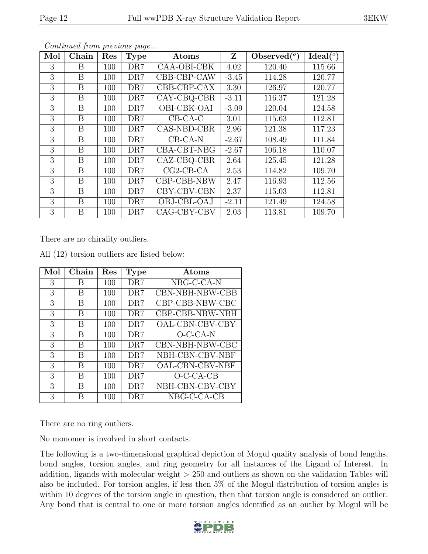|--|

| Mol | Chain | Res | <b>Type</b>     | Atoms         | Z       | Observed $(°)$ | Ideal(°) |
|-----|-------|-----|-----------------|---------------|---------|----------------|----------|
| 3   | B     | 100 | DR7             | CAA-OBI-CBK   | 4.02    | 120.40         | 115.66   |
| 3   | B     | 100 | DR7             | CBB-CBP-CAW   | $-3.45$ | 114.28         | 120.77   |
| 3   | B     | 100 | DR7             | CBB-CBP-CAX   | 3.30    | 126.97         | 120.77   |
| 3   | B     | 100 | DR <sub>7</sub> | CAY-CBQ-CBR   | $-3.11$ | 116.37         | 121.28   |
| 3   | B     | 100 | DR7             | OBI-CBK-OAI   | $-3.09$ | 120.04         | 124.58   |
| 3   | B     | 100 | DR <sub>7</sub> | $CB-CA-C$     | 3.01    | 115.63         | 112.81   |
| 3   | B     | 100 | DR <sub>7</sub> | CAS-NBD-CBR   | 2.96    | 121.38         | 117.23   |
| 3   | B     | 100 | DR7             | $CB$ -CA- $N$ | $-2.67$ | 108.49         | 111.84   |
| 3   | B     | 100 | DR <sub>7</sub> | CBA-CBT-NBG   | $-2.67$ | 106.18         | 110.07   |
| 3   | B     | 100 | DR <sub>7</sub> | CAZ-CBQ-CBR   | 2.64    | 125.45         | 121.28   |
| 3   | B     | 100 | DR7             | $CG2-CB-CA$   | 2.53    | 114.82         | 109.70   |
| 3   | B     | 100 | DR7             | CBP-CBB-NBW   | 2.47    | 116.93         | 112.56   |
| 3   | B     | 100 | DR7             | CBY-CBV-CBN   | 2.37    | 115.03         | 112.81   |
| 3   | B     | 100 | DR <sub>7</sub> | OBJ-CBL-OAJ   | $-2.11$ | 121.49         | 124.58   |
| 3   | B     | 100 | DR7             | CAG-CBY-CBV   | 2.03    | 113.81         | 109.70   |

Continued from previous page...

There are no chirality outliers.

| Mol | Chain | Res | <b>Type</b> | Atoms           |
|-----|-------|-----|-------------|-----------------|
| 3   | В     | 100 | DR7         | NBG-C-CA-N      |
| 3   | В     | 100 | DR7         | CBN-NBH-NBW-CBB |
| 3   | В     | 100 | DR7         | CBP-CBB-NBW-CBC |
| 3   | В     | 100 | DR7         | CBP-CBB-NBW-NBH |
| 3   | B     | 100 | DR7         | OAL-CBN-CBV-CBY |
| 3   | В     | 100 | DR7         | $O-C-CA-N$      |
| 3   | В     | 100 | DR7         | CBN-NBH-NBW-CBC |
| 3   | B     | 100 | DR7         | NBH-CBN-CBV-NBF |
| 3   | В     | 100 | DR7         | OAL-CBN-CBV-NBF |
| 3   | В     | 100 | DR7         | $O-C-CA-CB$     |
| 3   | В     | 100 | DR7         | NBH-CBN-CBV-CBY |
| 3   | В     | 100 | DR7         | NBG-C-CA-CB     |

All (12) torsion outliers are listed below:

There are no ring outliers.

No monomer is involved in short contacts.

The following is a two-dimensional graphical depiction of Mogul quality analysis of bond lengths, bond angles, torsion angles, and ring geometry for all instances of the Ligand of Interest. In addition, ligands with molecular weight > 250 and outliers as shown on the validation Tables will also be included. For torsion angles, if less then 5% of the Mogul distribution of torsion angles is within 10 degrees of the torsion angle in question, then that torsion angle is considered an outlier. Any bond that is central to one or more torsion angles identified as an outlier by Mogul will be

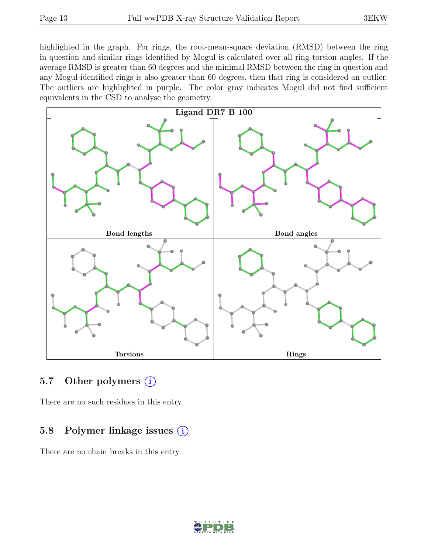highlighted in the graph. For rings, the root-mean-square deviation (RMSD) between the ring in question and similar rings identified by Mogul is calculated over all ring torsion angles. If the average RMSD is greater than 60 degrees and the minimal RMSD between the ring in question and any Mogul-identified rings is also greater than 60 degrees, then that ring is considered an outlier. The outliers are highlighted in purple. The color gray indicates Mogul did not find sufficient equivalents in the CSD to analyse the geometry.



#### 5.7 Other polymers  $(i)$

There are no such residues in this entry.

### 5.8 Polymer linkage issues  $(i)$

There are no chain breaks in this entry.

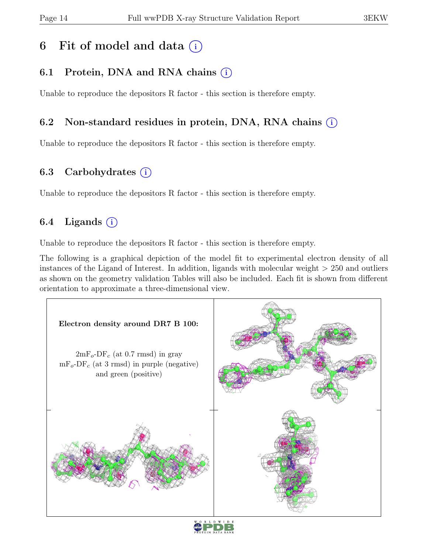# 6 Fit of model and data  $(i)$

## 6.1 Protein, DNA and RNA chains  $(i)$

Unable to reproduce the depositors R factor - this section is therefore empty.

### 6.2 Non-standard residues in protein, DNA, RNA chains (i)

Unable to reproduce the depositors R factor - this section is therefore empty.

### 6.3 Carbohydrates  $(i)$

Unable to reproduce the depositors R factor - this section is therefore empty.

## 6.4 Ligands  $(i)$

Unable to reproduce the depositors R factor - this section is therefore empty.

The following is a graphical depiction of the model fit to experimental electron density of all instances of the Ligand of Interest. In addition, ligands with molecular weight > 250 and outliers as shown on the geometry validation Tables will also be included. Each fit is shown from different orientation to approximate a three-dimensional view.